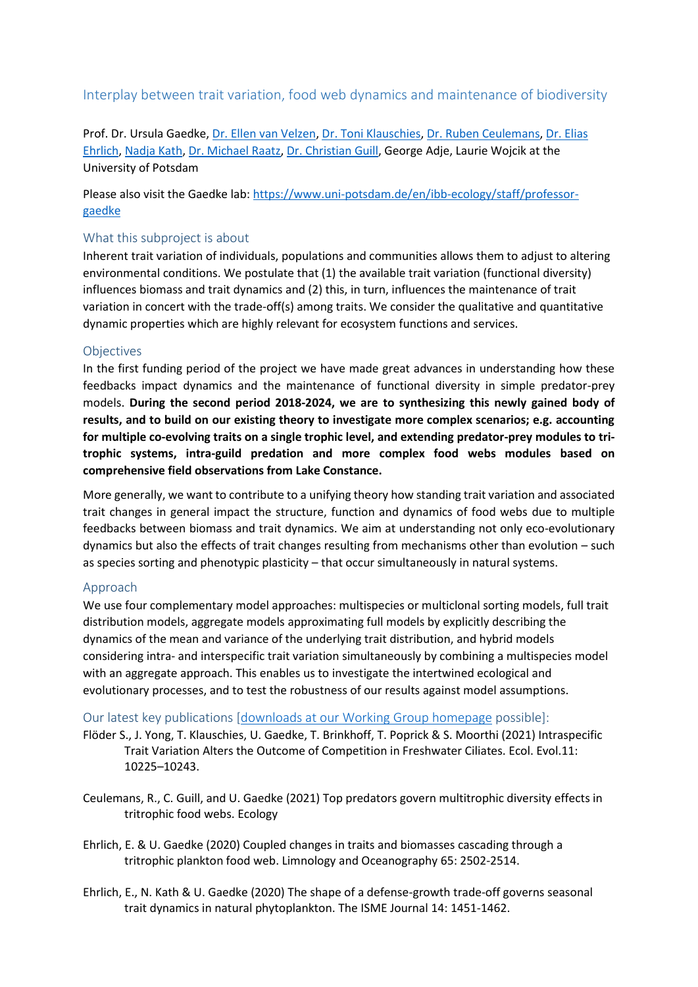# Interplay between trait variation, food web dynamics and maintenance of biodiversity

Prof. Dr. Ursula Gaedke, [Dr. Ellen van Velzen,](https://www.uni-potsdam.de/en/ibb-ecology/staff/dr-ellen-van-velzen) [Dr. Toni Klauschies,](https://www.uni-potsdam.de/de/ibb-ecology/mitarbeiterinnen/dr-toni-klauschies) Dr. [Ruben Ceulemans,](https://www.uni-potsdam.de/de/ibb-ecology/mitarbeiterinnen/ruben-ceulemans) [Dr. Elias](https://www.uni-potsdam.de/de/ibb-ecology/mitarbeiterinnen/elias-ehrlich)  [Ehrlich,](https://www.uni-potsdam.de/de/ibb-ecology/mitarbeiterinnen/elias-ehrlich) [Nadja Kath,](https://www.uni-potsdam.de/de/ibb-ecology/mitarbeiterinnen/nadja-kath) Dr. [Michael Raatz,](https://www.evolbio.mpg.de/person/99370/2169) [Dr. Christian Guill,](https://www.uni-potsdam.de/de/ibb-ecology/mitarbeiterinnen/dr-christian-guill) George Adje, Laurie Wojcik at the University of Potsdam

Please also visit the Gaedke lab: [https://www.uni-potsdam.de/en/ibb-ecology/staff/professor](https://www.uni-potsdam.de/en/ibb-ecology/staff/professor-gaedke)[gaedke](https://www.uni-potsdam.de/en/ibb-ecology/staff/professor-gaedke)

## What this subproject is about

Inherent trait variation of individuals, populations and communities allows them to adjust to altering environmental conditions. We postulate that (1) the available trait variation (functional diversity) influences biomass and trait dynamics and (2) this, in turn, influences the maintenance of trait variation in concert with the trade-off(s) among traits. We consider the qualitative and quantitative dynamic properties which are highly relevant for ecosystem functions and services.

### **Objectives**

In the first funding period of the project we have made great advances in understanding how these feedbacks impact dynamics and the maintenance of functional diversity in simple predator-prey models. **During the second period 2018-2024, we are to synthesizing this newly gained body of results, and to build on our existing theory to investigate more complex scenarios; e.g. accounting for multiple co-evolving traits on a single trophic level, and extending predator-prey modules to tritrophic systems, intra-guild predation and more complex food webs modules based on comprehensive field observations from Lake Constance.**

More generally, we want to contribute to a unifying theory how standing trait variation and associated trait changes in general impact the structure, function and dynamics of food webs due to multiple feedbacks between biomass and trait dynamics. We aim at understanding not only eco-evolutionary dynamics but also the effects of trait changes resulting from mechanisms other than evolution – such as species sorting and phenotypic plasticity – that occur simultaneously in natural systems.

### Approach

We use four complementary model approaches: multispecies or multiclonal sorting models, full trait distribution models, aggregate models approximating full models by explicitly describing the dynamics of the mean and variance of the underlying trait distribution, and hybrid models considering intra- and interspecific trait variation simultaneously by combining a multispecies model with an aggregate approach. This enables us to investigate the intertwined ecological and evolutionary processes, and to test the robustness of our results against model assumptions.

### Our latest key publications [\[downloads at our Working Group homepage](https://www.uni-potsdam.de/en/ibb-ecology/publications) possible]:

- Flöder S., J. Yong, T. Klauschies, U. Gaedke, T. Brinkhoff, T. Poprick & S. Moorthi (2021) Intraspecific Trait Variation Alters the Outcome of Competition in Freshwater Ciliates. Ecol. Evol.11: 10225–10243.
- Ceulemans, R., C. Guill, and U. Gaedke (2021) Top predators govern multitrophic diversity effects in tritrophic food webs. Ecology
- Ehrlich, E. & U. Gaedke (2020) Coupled changes in traits and biomasses cascading through a tritrophic plankton food web. Limnology and Oceanography 65: 2502-2514.
- Ehrlich, E., N. Kath & U. Gaedke (2020) The shape of a defense-growth trade-off governs seasonal trait dynamics in natural phytoplankton. The ISME Journal 14: 1451-1462.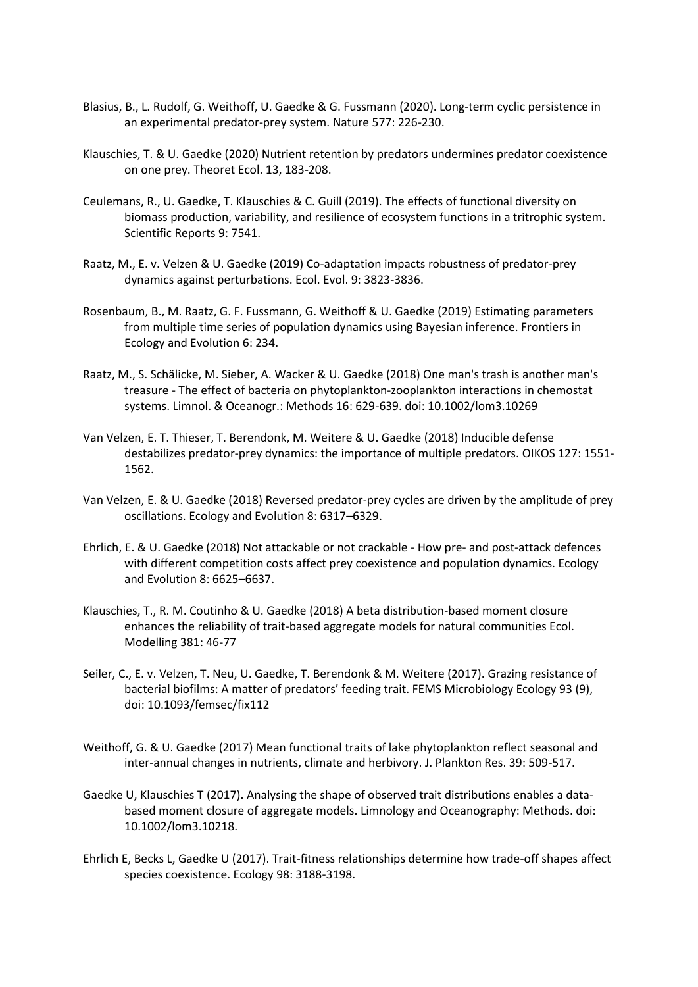- Blasius, B., L. Rudolf, G. Weithoff, U. Gaedke & G. Fussmann (2020). Long-term cyclic persistence in an experimental predator-prey system. Nature 577: 226-230.
- Klauschies, T. & U. Gaedke (2020) Nutrient retention by predators undermines predator coexistence on one prey. Theoret Ecol. 13, 183-208.
- Ceulemans, R., U. Gaedke, T. Klauschies & C. Guill (2019). The effects of functional diversity on biomass production, variability, and resilience of ecosystem functions in a tritrophic system. Scientific Reports 9: 7541.
- Raatz, M., E. v. Velzen & U. Gaedke (2019) Co-adaptation impacts robustness of predator-prey dynamics against perturbations. Ecol. Evol. 9: 3823-3836.
- Rosenbaum, B., M. Raatz, G. F. Fussmann, G. Weithoff & U. Gaedke (2019) Estimating parameters from multiple time series of population dynamics using Bayesian inference. Frontiers in Ecology and Evolution 6: 234.
- Raatz, M., S. Schälicke, M. Sieber, A. Wacker & U. Gaedke (2018) One man's trash is another man's treasure - The effect of bacteria on phytoplankton-zooplankton interactions in chemostat systems. Limnol. & Oceanogr.: Methods 16: 629-639. doi: 10.1002/lom3.10269
- Van Velzen, E. T. Thieser, T. Berendonk, M. Weitere & U. Gaedke (2018) Inducible defense destabilizes predator-prey dynamics: the importance of multiple predators. OIKOS 127: 1551- 1562.
- Van Velzen, E. & U. Gaedke (2018) Reversed predator-prey cycles are driven by the amplitude of prey oscillations. Ecology and Evolution 8: 6317–6329.
- Ehrlich, E. & U. Gaedke (2018) Not attackable or not crackable How pre- and post-attack defences with different competition costs affect prey coexistence and population dynamics. Ecology and Evolution 8: 6625–6637.
- Klauschies, T., R. M. Coutinho & U. Gaedke (2018) A beta distribution-based moment closure enhances the reliability of trait-based aggregate models for natural communities Ecol. Modelling 381: 46-77
- Seiler, C., E. v. Velzen, T. Neu, U. Gaedke, T. Berendonk & M. Weitere (2017). Grazing resistance of bacterial biofilms: A matter of predators' feeding trait. FEMS Microbiology Ecology 93 (9), doi: 10.1093/femsec/fix112
- Weithoff, G. & U. Gaedke (2017) Mean functional traits of lake phytoplankton reflect seasonal and inter-annual changes in nutrients, climate and herbivory. J. Plankton Res. 39: 509-517.
- Gaedke U, Klauschies T (2017). Analysing the shape of observed trait distributions enables a databased moment closure of aggregate models. Limnology and Oceanography: Methods. doi: 10.1002/lom3.10218.
- Ehrlich E, Becks L, Gaedke U (2017). Trait-fitness relationships determine how trade-off shapes affect species coexistence. Ecology 98: 3188-3198.